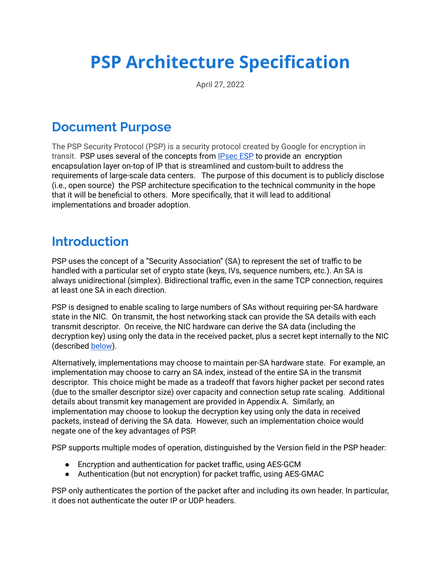# **PSP Architecture Specification**

April 27, 2022

## **Document Purpose**

The PSP Security Protocol (PSP) is a security protocol created by Google for encryption in transit. PSP uses several of the concepts from [IPsec](https://tools.ietf.org/html/rfc4303) ESP to provide an encryption encapsulation layer on-top of IP that is streamlined and custom-built to address the requirements of large-scale data centers. The purpose of this document is to publicly disclose (i.e., open source) the PSP architecture specification to the technical community in the hope that it will be beneficial to others. More specifically, that it will lead to additional implementations and broader adoption.

## **Introduction**

PSP uses the concept of a "Security Association" (SA) to represent the set of traffic to be handled with a particular set of crypto state (keys, IVs, sequence numbers, etc.). An SA is always unidirectional (simplex). Bidirectional traffic, even in the same TCP connection, requires at least one SA in each direction.

PSP is designed to enable scaling to large numbers of SAs without requiring per-SA hardware state in the NIC. On transmit, the host networking stack can provide the SA details with each transmit descriptor. On receive, the NIC hardware can derive the SA data (including the decryption key) using only the data in the received packet, plus a secret kept internally to the NIC (described below).

Alternatively, implementations may choose to maintain per-SA hardware state. For example, an implementation may choose to carry an SA index, instead of the entire SA in the transmit descriptor. This choice might be made as a tradeoff that favors higher packet per second rates (due to the smaller descriptor size) over capacity and connection setup rate scaling. Additional details about transmit key management are provided in Appendix A. Similarly, an implementation may choose to lookup the decryption key using only the data in received packets, instead of deriving the SA data. However, such an implementation choice would negate one of the key advantages of PSP.

PSP supports multiple modes of operation, distinguished by the Version field in the PSP header:

- Encryption and authentication for packet traffic, using AES-GCM
- Authentication (but not encryption) for packet traffic, using AES-GMAC

PSP only authenticates the portion of the packet after and including its own header. In particular, it does not authenticate the outer IP or UDP headers.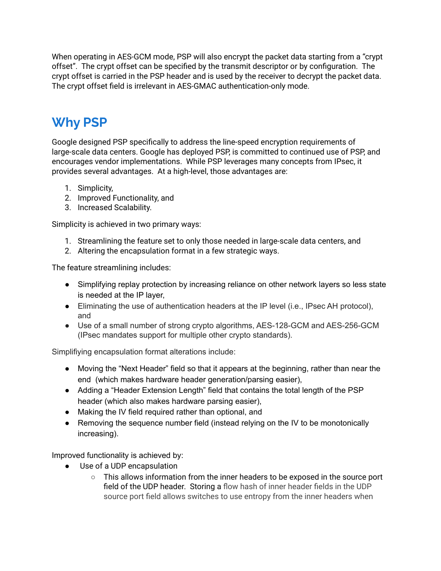When operating in AES-GCM mode, PSP will also encrypt the packet data starting from a "crypt offset". The crypt offset can be specified by the transmit descriptor or by configuration. The crypt offset is carried in the PSP header and is used by the receiver to decrypt the packet data. The crypt offset field is irrelevant in AES-GMAC authentication-only mode.

# **Why PSP**

Google designed PSP specifically to address the line-speed encryption requirements of large-scale data centers. Google has deployed PSP, is committed to continued use of PSP, and encourages vendor implementations. While PSP leverages many concepts from IPsec, it provides several advantages. At a high-level, those advantages are:

- 1. Simplicity,
- 2. Improved Functionality, and
- 3. Increased Scalability.

Simplicity is achieved in two primary ways:

- 1. Streamlining the feature set to only those needed in large-scale data centers, and
- 2. Altering the encapsulation format in a few strategic ways.

The feature streamlining includes:

- Simplifying replay protection by increasing reliance on other network layers so less state is needed at the IP layer,
- Eliminating the use of authentication headers at the IP level (i.e., IPsec AH protocol), and
- Use of a small number of strong crypto algorithms, AES-128-GCM and AES-256-GCM (IPsec mandates support for multiple other crypto standards).

Simplifiying encapsulation format alterations include:

- Moving the "Next Header" field so that it appears at the beginning, rather than near the end (which makes hardware header generation/parsing easier),
- Adding a "Header Extension Length" field that contains the total length of the PSP header (which also makes hardware parsing easier),
- Making the IV field required rather than optional, and
- Removing the sequence number field (instead relying on the IV to be monotonically increasing).

Improved functionality is achieved by:

- Use of a UDP encapsulation
	- This allows information from the inner headers to be exposed in the source port field of the UDP header. Storing a flow hash of inner header fields in the UDP source port field allows switches to use entropy from the inner headers when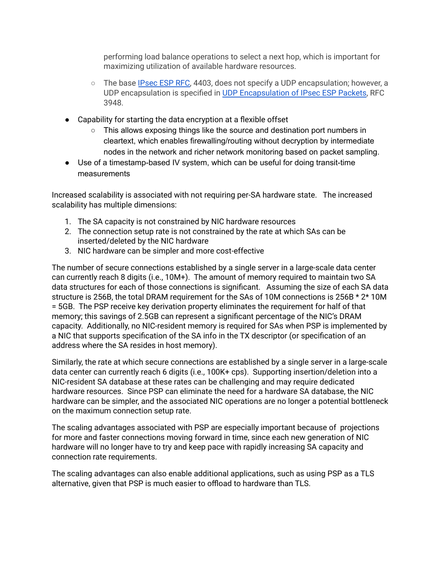performing load balance operations to select a next hop, which is important for maximizing utilization of available hardware resources.

- The base [IPsec](https://tools.ietf.org/html/rfc4303) ESP RFC, 4403, does not specify a UDP encapsulation; however, a UDP encapsulation is specified in UDP [Encapsulation](https://tools.ietf.org/html/rfc3948) of IPsec ESP Packets, RFC 3948.
- Capability for starting the data encryption at a flexible offset
	- This allows exposing things like the source and destination port numbers in cleartext, which enables firewalling/routing without decryption by intermediate nodes in the network and richer network monitoring based on packet sampling.
- Use of a timestamp-based IV system, which can be useful for doing transit-time measurements

Increased scalability is associated with not requiring per-SA hardware state. The increased scalability has multiple dimensions:

- 1. The SA capacity is not constrained by NIC hardware resources
- 2. The connection setup rate is not constrained by the rate at which SAs can be inserted/deleted by the NIC hardware
- 3. NIC hardware can be simpler and more cost-effective

The number of secure connections established by a single server in a large-scale data center can currently reach 8 digits (i.e., 10M+). The amount of memory required to maintain two SA data structures for each of those connections is significant. Assuming the size of each SA data structure is 256B, the total DRAM requirement for the SAs of 10M connections is 256B \* 2\* 10M = 5GB. The PSP receive key derivation property eliminates the requirement for half of that memory; this savings of 2.5GB can represent a significant percentage of the NIC's DRAM capacity. Additionally, no NIC-resident memory is required for SAs when PSP is implemented by a NIC that supports specification of the SA info in the TX descriptor (or specification of an address where the SA resides in host memory).

Similarly, the rate at which secure connections are established by a single server in a large-scale data center can currently reach 6 digits (i.e., 100K+ cps). Supporting insertion/deletion into a NIC-resident SA database at these rates can be challenging and may require dedicated hardware resources. Since PSP can eliminate the need for a hardware SA database, the NIC hardware can be simpler, and the associated NIC operations are no longer a potential bottleneck on the maximum connection setup rate.

The scaling advantages associated with PSP are especially important because of projections for more and faster connections moving forward in time, since each new generation of NIC hardware will no longer have to try and keep pace with rapidly increasing SA capacity and connection rate requirements.

The scaling advantages can also enable additional applications, such as using PSP as a TLS alternative, given that PSP is much easier to offload to hardware than TLS.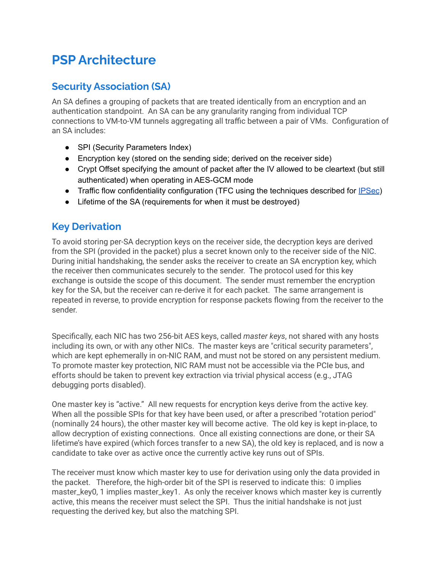# **PSP Architecture**

#### **Security Association (SA)**

An SA defines a grouping of packets that are treated identically from an encryption and an authentication standpoint. An SA can be any granularity ranging from individual TCP connections to VM-to-VM tunnels aggregating all traffic between a pair of VMs. Configuration of an SA includes:

- SPI (Security Parameters Index)
- Encryption key (stored on the sending side; derived on the receiver side)
- Crypt Offset specifying the amount of packet after the IV allowed to be cleartext (but still authenticated) when operating in AES-GCM mode
- Traffic flow confidentiality configuration (TFC using the techniques described for [IPSec](https://tools.ietf.org/html/rfc4303#page-17))
- Lifetime of the SA (requirements for when it must be destroyed)

#### **Key Derivation**

To avoid storing per-SA decryption keys on the receiver side, the decryption keys are derived from the SPI (provided in the packet) plus a secret known only to the receiver side of the NIC. During initial handshaking, the sender asks the receiver to create an SA encryption key, which the receiver then communicates securely to the sender. The protocol used for this key exchange is outside the scope of this document. The sender must remember the encryption key for the SA, but the receiver can re-derive it for each packet. The same arrangement is repeated in reverse, to provide encryption for response packets flowing from the receiver to the sender.

Specifically, each NIC has two 256-bit AES keys, called *master keys*, not shared with any hosts including its own, or with any other NICs. The master keys are "critical security parameters", which are kept ephemerally in on-NIC RAM, and must not be stored on any persistent medium. To promote master key protection, NIC RAM must not be accessible via the PCIe bus, and efforts should be taken to prevent key extraction via trivial physical access (e.g., JTAG debugging ports disabled).

One master key is "active." All new requests for encryption keys derive from the active key. When all the possible SPIs for that key have been used, or after a prescribed "rotation period" (nominally 24 hours), the other master key will become active. The old key is kept in-place, to allow decryption of existing connections. Once all existing connections are done, or their SA lifetime's have expired (which forces transfer to a new SA), the old key is replaced, and is now a candidate to take over as active once the currently active key runs out of SPIs.

The receiver must know which master key to use for derivation using only the data provided in the packet. Therefore, the high-order bit of the SPI is reserved to indicate this: 0 implies master\_key0, 1 implies master\_key1. As only the receiver knows which master key is currently active, this means the receiver must select the SPI. Thus the initial handshake is not just requesting the derived key, but also the matching SPI.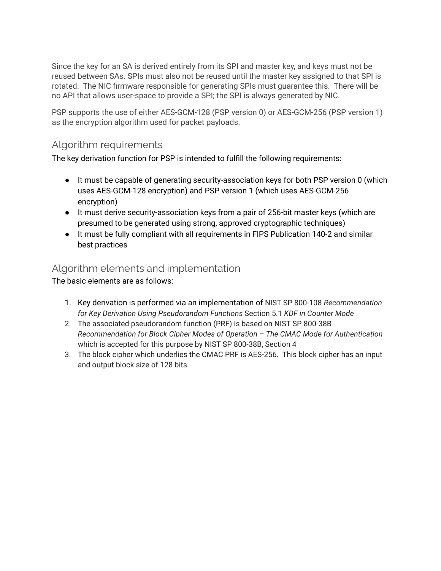Since the key for an SA is derived entirely from its SPI and master key, and keys must not be reused between SAs. SPIs must also not be reused until the master key assigned to that SPI is rotated. The NIC firmware responsible for generating SPIs must guarantee this. There will be no API that allows user-space to provide a SPI; the SPI is always generated by NIC.

PSP supports the use of either AES-GCM-128 (PSP version 0) or AES-GCM-256 (PSP version 1) as the encryption algorithm used for packet payloads.

#### Algorithm requirements

The key derivation function for PSP is intended to fulfill the following requirements:

- It must be capable of generating security-association keys for both PSP version 0 (which uses AES-GCM-128 encryption) and PSP version 1 (which uses AES-GCM-256 encryption)
- It must derive security-association keys from a pair of 256-bit master keys (which are presumed to be generated using strong, approved cryptographic techniques)
- It must be fully compliant with all requirements in FIPS Publication 140-2 and similar best practices

#### Algorithm elements and implementation

The basic elements are as follows:

- 1. Key derivation is performed via an implementation of NIST SP 800-108 *Recommendation for Key Derivation Using Pseudorandom Functions* Section 5.1 *KDF in Counter Mode*
- 2. The associated pseudorandom function (PRF) is based on NIST SP 800-38B *Recommendation for Block Cipher Modes of Operation – The CMAC Mode for Authentication* which is accepted for this purpose by NIST SP 800-38B, Section 4
- 3. The block cipher which underlies the CMAC PRF is AES-256. This block cipher has an input and output block size of 128 bits.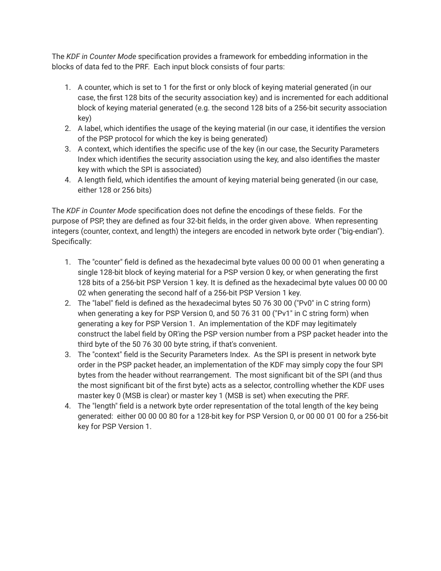The *KDF in Counter Mode* specification provides a framework for embedding information in the blocks of data fed to the PRF. Each input block consists of four parts:

- 1. A counter, which is set to 1 for the first or only block of keying material generated (in our case, the first 128 bits of the security association key) and is incremented for each additional block of keying material generated (e.g. the second 128 bits of a 256-bit security association key)
- 2. A label, which identifies the usage of the keying material (in our case, it identifies the version of the PSP protocol for which the key is being generated)
- 3. A context, which identifies the specific use of the key (in our case, the Security Parameters Index which identifies the security association using the key, and also identifies the master key with which the SPI is associated)
- 4. A length field, which identifies the amount of keying material being generated (in our case, either 128 or 256 bits)

The *KDF in Counter Mode* specification does not define the encodings of these fields. For the purpose of PSP, they are defined as four 32-bit fields, in the order given above. When representing integers (counter, context, and length) the integers are encoded in network byte order ("big-endian"). Specifically:

- 1. The "counter" field is defined as the hexadecimal byte values 00 00 00 01 when generating a single 128-bit block of keying material for a PSP version 0 key, or when generating the first 128 bits of a 256-bit PSP Version 1 key. It is defined as the hexadecimal byte values 00 00 00 02 when generating the second half of a 256-bit PSP Version 1 key.
- 2. The "label" field is defined as the hexadecimal bytes 50 76 30 00 ("Pv0" in C string form) when generating a key for PSP Version 0, and 50 76 31 00 ("Pv1" in C string form) when generating a key for PSP Version 1. An implementation of the KDF may legitimately construct the label field by OR'ing the PSP version number from a PSP packet header into the third byte of the 50 76 30 00 byte string, if that's convenient.
- 3. The "context" field is the Security Parameters Index. As the SPI is present in network byte order in the PSP packet header, an implementation of the KDF may simply copy the four SPI bytes from the header without rearrangement. The most significant bit of the SPI (and thus the most significant bit of the first byte) acts as a selector, controlling whether the KDF uses master key 0 (MSB is clear) or master key 1 (MSB is set) when executing the PRF.
- 4. The "length" field is a network byte order representation of the total length of the key being generated: either 00 00 00 80 for a 128-bit key for PSP Version 0, or 00 00 01 00 for a 256-bit key for PSP Version 1.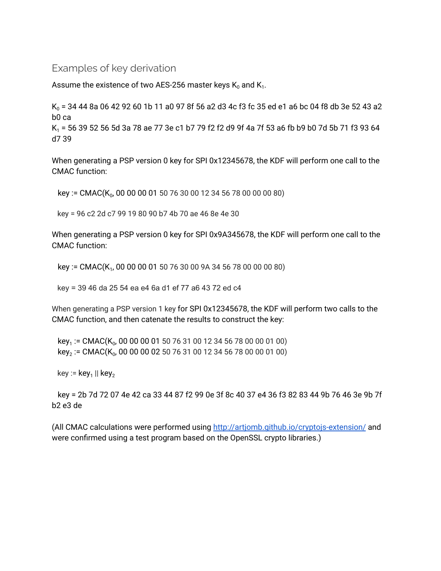#### Examples of key derivation

Assume the existence of two AES-256 master keys  $\mathsf{K}_{\scriptscriptstyle{0}}$  and  $\mathsf{K}_{\scriptscriptstyle{1}}$ .

 $K_0$  = 34 44 8a 06 42 92 60 1b 11 a0 97 8f 56 a2 d3 4c f3 fc 35 ed e1 a6 bc 04 f8 db 3e 52 43 a2 b0 ca

K<sup>1</sup> = 56 39 52 56 5d 3a 78 ae 77 3e c1 b7 79 f2 f2 d9 9f 4a 7f 53 a6 fb b9 b0 7d 5b 71 f3 93 64 d7 39

When generating a PSP version 0 key for SPI 0x12345678, the KDF will perform one call to the CMAC function:

key := CMAC(K $_0$ , 00 00 00 01 50 76 30 00 12 34 56 78 00 00 00 80)

key = 96 c2 2d c7 99 19 80 90 b7 4b 70 ae 46 8e 4e 30

When generating a PSP version 0 key for SPI 0x9A345678, the KDF will perform one call to the CMAC function:

key := CMAC(K<sub>1</sub>, 00 00 00 01 50 76 30 00 9A 34 56 78 00 00 00 80)

key = 39 46 da 25 54 ea e4 6a d1 ef 77 a6 43 72 ed c4

When generating a PSP version 1 key for SPI 0x12345678, the KDF will perform two calls to the CMAC function, and then catenate the results to construct the key:

key<sub>1</sub> := CMAC(K<sub>0</sub>, 00 00 00 01 50 76 31 00 12 34 56 78 00 00 01 00) key<sub>2</sub> := CMAC(K<sub>0</sub>, 00 00 00 02 50 76 31 00 12 34 56 78 00 00 01 00)

key := key<sub>1</sub> || key<sub>2</sub>

key = 2b 7d 72 07 4e 42 ca 33 44 87 f2 99 0e 3f 8c 40 37 e4 36 f3 82 83 44 9b 76 46 3e 9b 7f b2 e3 de

(All CMAC calculations were performed using <http://artjomb.github.io/cryptojs-extension/> and were confirmed using a test program based on the OpenSSL crypto libraries.)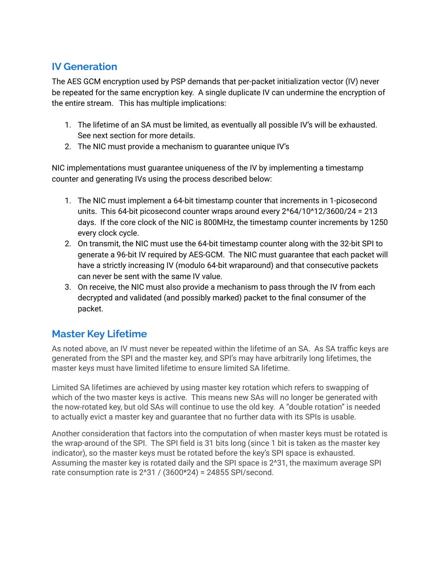#### **IV Generation**

The AES GCM encryption used by PSP demands that per-packet initialization vector (IV) never be repeated for the same encryption key. A single duplicate IV can undermine the encryption of the entire stream. This has multiple implications:

- 1. The lifetime of an SA must be limited, as eventually all possible IV's will be exhausted. See next section for more details.
- 2. The NIC must provide a mechanism to guarantee unique IV's

NIC implementations must guarantee uniqueness of the IV by implementing a timestamp counter and generating IVs using the process described below:

- 1. The NIC must implement a 64-bit timestamp counter that increments in 1-picosecond units. This 64-bit picosecond counter wraps around every  $2^64/10^412/3600/24 = 213$ days. If the core clock of the NIC is 800MHz, the timestamp counter increments by 1250 every clock cycle.
- 2. On transmit, the NIC must use the 64-bit timestamp counter along with the 32-bit SPI to generate a 96-bit IV required by AES-GCM. The NIC must guarantee that each packet will have a strictly increasing IV (modulo 64-bit wraparound) and that consecutive packets can never be sent with the same IV value.
- 3. On receive, the NIC must also provide a mechanism to pass through the IV from each decrypted and validated (and possibly marked) packet to the final consumer of the packet.

#### **Master Key Lifetime**

As noted above, an IV must never be repeated within the lifetime of an SA. As SA traffic keys are generated from the SPI and the master key, and SPI's may have arbitrarily long lifetimes, the master keys must have limited lifetime to ensure limited SA lifetime.

Limited SA lifetimes are achieved by using master key rotation which refers to swapping of which of the two master keys is active. This means new SAs will no longer be generated with the now-rotated key, but old SAs will continue to use the old key. A "double rotation" is needed to actually evict a master key and guarantee that no further data with its SPIs is usable.

Another consideration that factors into the computation of when master keys must be rotated is the wrap-around of the SPI. The SPI field is 31 bits long (since 1 bit is taken as the master key indicator), so the master keys must be rotated before the key's SPI space is exhausted. Assuming the master key is rotated daily and the SPI space is 2^31, the maximum average SPI rate consumption rate is  $2^3$ 1 / (3600\*24) = 24855 SPI/second.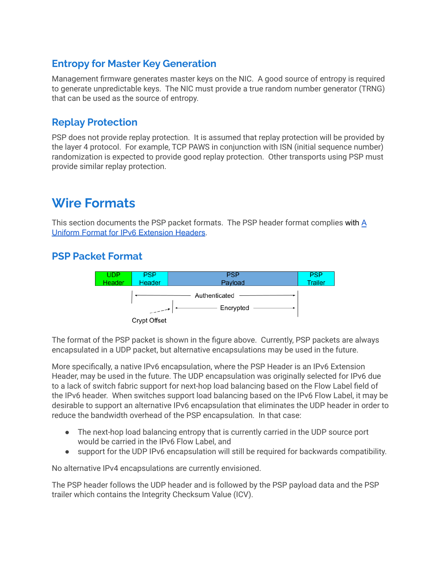#### **Entropy for Master Key Generation**

Management firmware generates master keys on the NIC. A good source of entropy is required to generate unpredictable keys. The NIC must provide a true random number generator (TRNG) that can be used as the source of entropy.

#### **Replay Protection**

PSP does not provide replay protection. It is assumed that replay protection will be provided by the layer 4 protocol. For example, TCP PAWS in conjunction with ISN (initial sequence number) randomization is expected to provide good replay protection. Other transports using PSP must provide similar replay protection.

### **Wire Formats**

This section documents the PSP packet formats. The PSP header format complies with [A](http://www.rfc-editor.org/rfc/rfc6564.txt) Uniform Format for IPv6 [Extension](http://www.rfc-editor.org/rfc/rfc6564.txt) Headers.

#### **PSP Packet Format**



The format of the PSP packet is shown in the figure above. Currently, PSP packets are always encapsulated in a UDP packet, but alternative encapsulations may be used in the future.

More specifically, a native IPv6 encapsulation, where the PSP Header is an IPv6 Extension Header, may be used in the future. The UDP encapsulation was originally selected for IPv6 due to a lack of switch fabric support for next-hop load balancing based on the Flow Label field of the IPv6 header. When switches support load balancing based on the IPv6 Flow Label, it may be desirable to support an alternative IPv6 encapsulation that eliminates the UDP header in order to reduce the bandwidth overhead of the PSP encapsulation. In that case:

- The next-hop load balancing entropy that is currently carried in the UDP source port would be carried in the IPv6 Flow Label, and
- support for the UDP IPv6 encapsulation will still be required for backwards compatibility.

No alternative IPv4 encapsulations are currently envisioned.

The PSP header follows the UDP header and is followed by the PSP payload data and the PSP trailer which contains the Integrity Checksum Value (ICV).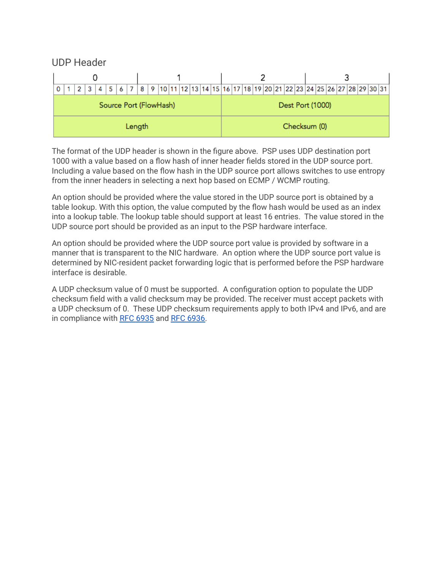UDP Header

| 3<br>2                 | 4   5   6   7   8   9  10  11  12  13  14  15  16  17  18  19  20  21  22  23  24  25  26  27  28  29  30  31 |                  |              |  |
|------------------------|---------------------------------------------------------------------------------------------------------------|------------------|--------------|--|
| Source Port (FlowHash) |                                                                                                               | Dest Port (1000) |              |  |
| Length                 |                                                                                                               |                  | Checksum (0) |  |

The format of the UDP header is shown in the figure above. PSP uses UDP destination port 1000 with a value based on a flow hash of inner header fields stored in the UDP source port. Including a value based on the flow hash in the UDP source port allows switches to use entropy from the inner headers in selecting a next hop based on ECMP / WCMP routing.

An option should be provided where the value stored in the UDP source port is obtained by a table lookup. With this option, the value computed by the flow hash would be used as an index into a lookup table. The lookup table should support at least 16 entries. The value stored in the UDP source port should be provided as an input to the PSP hardware interface.

An option should be provided where the UDP source port value is provided by software in a manner that is transparent to the NIC hardware. An option where the UDP source port value is determined by NIC-resident packet forwarding logic that is performed before the PSP hardware interface is desirable.

A UDP checksum value of 0 must be supported. A configuration option to populate the UDP checksum field with a valid checksum may be provided. The receiver must accept packets with a UDP checksum of 0. These UDP checksum requirements apply to both IPv4 and IPv6, and are in compliance with RFC [6935](https://tools.ietf.org/html/rfc6935) and RFC [6936.](https://tools.ietf.org/html/rfc6936)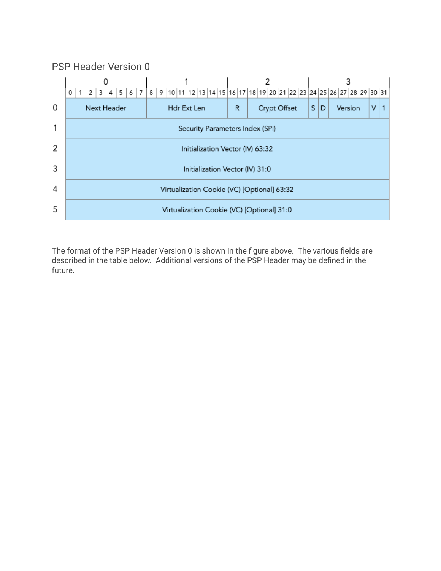#### PSP Header Version 0



The format of the PSP Header Version 0 is shown in the figure above. The various fields are described in the table below. Additional versions of the PSP Header may be defined in the future.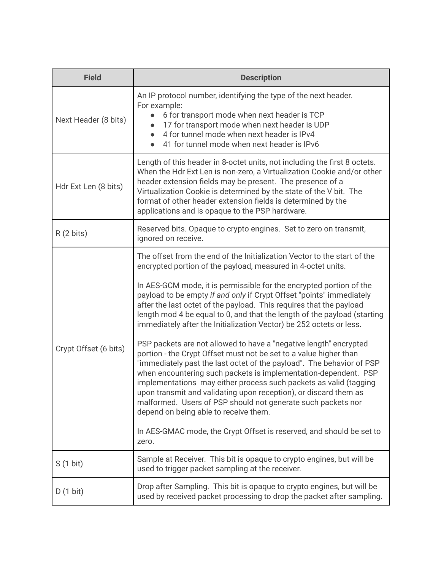| <b>Field</b>          | <b>Description</b>                                                                                                                                                                                                                                                                                                                                                                                                                                                                                                                                                                                                                                                                                                                                                                                                                                                                                                                                                                                                                                                                                                                         |  |  |
|-----------------------|--------------------------------------------------------------------------------------------------------------------------------------------------------------------------------------------------------------------------------------------------------------------------------------------------------------------------------------------------------------------------------------------------------------------------------------------------------------------------------------------------------------------------------------------------------------------------------------------------------------------------------------------------------------------------------------------------------------------------------------------------------------------------------------------------------------------------------------------------------------------------------------------------------------------------------------------------------------------------------------------------------------------------------------------------------------------------------------------------------------------------------------------|--|--|
| Next Header (8 bits)  | An IP protocol number, identifying the type of the next header.<br>For example:<br>6 for transport mode when next header is TCP<br>17 for transport mode when next header is UDP<br>4 for tunnel mode when next header is IPv4<br>41 for tunnel mode when next header is IPv6                                                                                                                                                                                                                                                                                                                                                                                                                                                                                                                                                                                                                                                                                                                                                                                                                                                              |  |  |
| Hdr Ext Len (8 bits)  | Length of this header in 8-octet units, not including the first 8 octets.<br>When the Hdr Ext Len is non-zero, a Virtualization Cookie and/or other<br>header extension fields may be present. The presence of a<br>Virtualization Cookie is determined by the state of the V bit. The<br>format of other header extension fields is determined by the<br>applications and is opaque to the PSP hardware.                                                                                                                                                                                                                                                                                                                                                                                                                                                                                                                                                                                                                                                                                                                                  |  |  |
| $R(2 \text{ bits})$   | Reserved bits. Opaque to crypto engines. Set to zero on transmit,<br>ignored on receive.                                                                                                                                                                                                                                                                                                                                                                                                                                                                                                                                                                                                                                                                                                                                                                                                                                                                                                                                                                                                                                                   |  |  |
| Crypt Offset (6 bits) | The offset from the end of the Initialization Vector to the start of the<br>encrypted portion of the payload, measured in 4-octet units.<br>In AES-GCM mode, it is permissible for the encrypted portion of the<br>payload to be empty if and only if Crypt Offset "points" immediately<br>after the last octet of the payload. This requires that the payload<br>length mod 4 be equal to 0, and that the length of the payload (starting<br>immediately after the Initialization Vector) be 252 octets or less.<br>PSP packets are not allowed to have a "negative length" encrypted<br>portion - the Crypt Offset must not be set to a value higher than<br>"immediately past the last octet of the payload". The behavior of PSP<br>when encountering such packets is implementation-dependent. PSP<br>implementations may either process such packets as valid (tagging<br>upon transmit and validating upon reception), or discard them as<br>malformed. Users of PSP should not generate such packets nor<br>depend on being able to receive them.<br>In AES-GMAC mode, the Crypt Offset is reserved, and should be set to<br>zero. |  |  |
| $S(1 \text{ bit})$    | Sample at Receiver. This bit is opaque to crypto engines, but will be<br>used to trigger packet sampling at the receiver.                                                                                                                                                                                                                                                                                                                                                                                                                                                                                                                                                                                                                                                                                                                                                                                                                                                                                                                                                                                                                  |  |  |
| $D(1 \text{ bit})$    | Drop after Sampling. This bit is opaque to crypto engines, but will be<br>used by received packet processing to drop the packet after sampling.                                                                                                                                                                                                                                                                                                                                                                                                                                                                                                                                                                                                                                                                                                                                                                                                                                                                                                                                                                                            |  |  |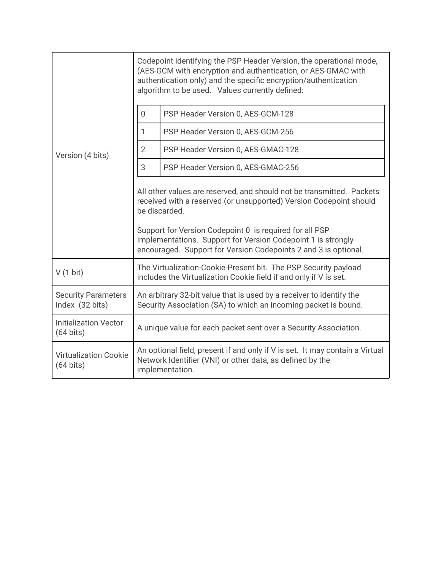|                                                     | Codepoint identifying the PSP Header Version, the operational mode,<br>(AES-GCM with encryption and authentication, or AES-GMAC with<br>authentication only) and the specific encryption/authentication<br>algorithm to be used. Values currently defined:                                                                                                 |                                    |  |
|-----------------------------------------------------|------------------------------------------------------------------------------------------------------------------------------------------------------------------------------------------------------------------------------------------------------------------------------------------------------------------------------------------------------------|------------------------------------|--|
| Version (4 bits)                                    | $\overline{0}$                                                                                                                                                                                                                                                                                                                                             | PSP Header Version 0, AES-GCM-128  |  |
|                                                     | 1                                                                                                                                                                                                                                                                                                                                                          | PSP Header Version 0, AES-GCM-256  |  |
|                                                     | $\overline{2}$                                                                                                                                                                                                                                                                                                                                             | PSP Header Version 0, AES-GMAC-128 |  |
|                                                     | 3                                                                                                                                                                                                                                                                                                                                                          | PSP Header Version 0, AES-GMAC-256 |  |
|                                                     | All other values are reserved, and should not be transmitted. Packets<br>received with a reserved (or unsupported) Version Codepoint should<br>be discarded.<br>Support for Version Codepoint 0 is required for all PSP<br>implementations. Support for Version Codepoint 1 is strongly<br>encouraged. Support for Version Codepoints 2 and 3 is optional. |                                    |  |
| V(1 bit)                                            | The Virtualization-Cookie-Present bit. The PSP Security payload<br>includes the Virtualization Cookie field if and only if V is set.                                                                                                                                                                                                                       |                                    |  |
| <b>Security Parameters</b><br>Index (32 bits)       | An arbitrary 32-bit value that is used by a receiver to identify the<br>Security Association (SA) to which an incoming packet is bound.                                                                                                                                                                                                                    |                                    |  |
| <b>Initialization Vector</b><br>$(64 \text{ bits})$ | A unique value for each packet sent over a Security Association.                                                                                                                                                                                                                                                                                           |                                    |  |
| <b>Virtualization Cookie</b><br>$(64 \text{ bits})$ | An optional field, present if and only if V is set. It may contain a Virtual<br>Network Identifier (VNI) or other data, as defined by the<br>implementation.                                                                                                                                                                                               |                                    |  |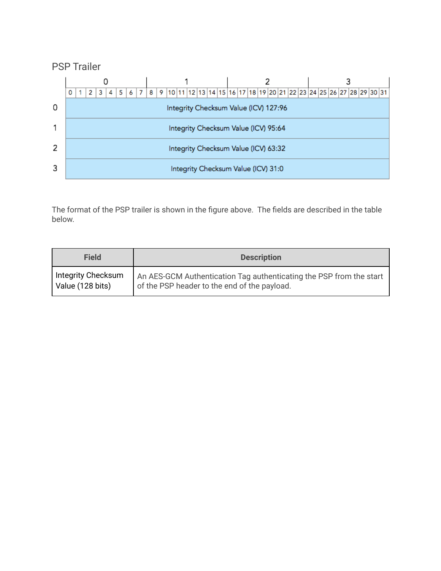#### PSP Trailer



The format of the PSP trailer is shown in the figure above. The fields are described in the table below.

| Field              | <b>Description</b>                                                  |
|--------------------|---------------------------------------------------------------------|
| Integrity Checksum | An AES-GCM Authentication Tag authenticating the PSP from the start |
| Value (128 bits)   | of the PSP header to the end of the payload.                        |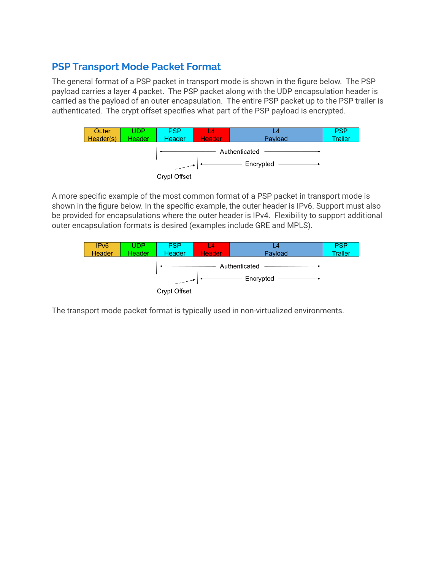#### **PSP Transport Mode Packet Format**

The general format of a PSP packet in transport mode is shown in the figure below. The PSP payload carries a layer 4 packet. The PSP packet along with the UDP encapsulation header is carried as the payload of an outer encapsulation. The entire PSP packet up to the PSP trailer is authenticated. The crypt offset specifies what part of the PSP payload is encrypted.



A more specific example of the most common format of a PSP packet in transport mode is shown in the figure below. In the specific example, the outer header is IPv6. Support must also be provided for encapsulations where the outer header is IPv4. Flexibility to support additional outer encapsulation formats is desired (examples include GRE and MPLS).



The transport mode packet format is typically used in non-virtualized environments.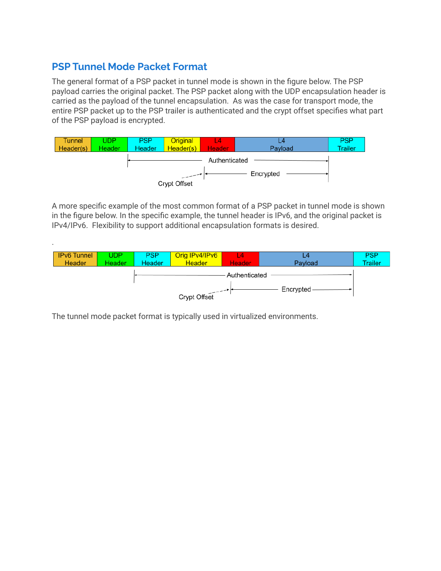#### **PSP Tunnel Mode Packet Format**

The general format of a PSP packet in tunnel mode is shown in the figure below. The PSP payload carries the original packet. The PSP packet along with the UDP encapsulation header is carried as the payload of the tunnel encapsulation. As was the case for transport mode, the entire PSP packet up to the PSP trailer is authenticated and the crypt offset specifies what part of the PSP payload is encrypted.



A more specific example of the most common format of a PSP packet in tunnel mode is shown in the figure below. In the specific example, the tunnel header is IPv6, and the original packet is IPv4/IPv6. Flexibility to support additional encapsulation formats is desired.



The tunnel mode packet format is typically used in virtualized environments.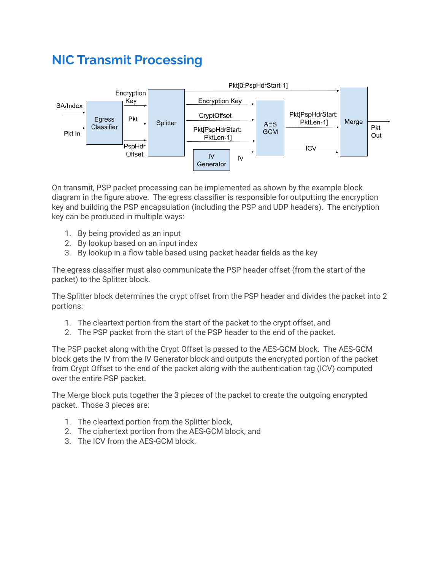# **NIC Transmit Processing**



On transmit, PSP packet processing can be implemented as shown by the example block diagram in the figure above. The egress classifier is responsible for outputting the encryption key and building the PSP encapsulation (including the PSP and UDP headers). The encryption key can be produced in multiple ways:

- 1. By being provided as an input
- 2. By lookup based on an input index
- 3. By lookup in a flow table based using packet header fields as the key

The egress classifier must also communicate the PSP header offset (from the start of the packet) to the Splitter block.

The Splitter block determines the crypt offset from the PSP header and divides the packet into 2 portions:

- 1. The cleartext portion from the start of the packet to the crypt offset, and
- 2. The PSP packet from the start of the PSP header to the end of the packet.

The PSP packet along with the Crypt Offset is passed to the AES-GCM block. The AES-GCM block gets the IV from the IV Generator block and outputs the encrypted portion of the packet from Crypt Offset to the end of the packet along with the authentication tag (ICV) computed over the entire PSP packet.

The Merge block puts together the 3 pieces of the packet to create the outgoing encrypted packet. Those 3 pieces are:

- 1. The cleartext portion from the Splitter block,
- 2. The ciphertext portion from the AES-GCM block, and
- 3. The ICV from the AES-GCM block.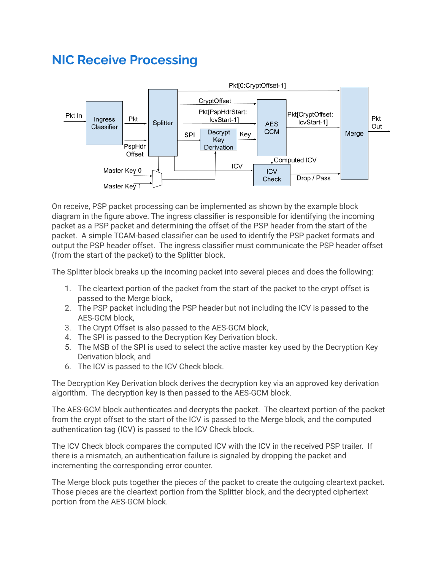## **NIC Receive Processing**



On receive, PSP packet processing can be implemented as shown by the example block diagram in the figure above. The ingress classifier is responsible for identifying the incoming packet as a PSP packet and determining the offset of the PSP header from the start of the packet. A simple TCAM-based classifier can be used to identify the PSP packet formats and output the PSP header offset. The ingress classifier must communicate the PSP header offset (from the start of the packet) to the Splitter block.

The Splitter block breaks up the incoming packet into several pieces and does the following:

- 1. The cleartext portion of the packet from the start of the packet to the crypt offset is passed to the Merge block,
- 2. The PSP packet including the PSP header but not including the ICV is passed to the AES-GCM block,
- 3. The Crypt Offset is also passed to the AES-GCM block,
- 4. The SPI is passed to the Decryption Key Derivation block.
- 5. The MSB of the SPI is used to select the active master key used by the Decryption Key Derivation block, and
- 6. The ICV is passed to the ICV Check block.

The Decryption Key Derivation block derives the decryption key via an approved key derivation algorithm. The decryption key is then passed to the AES-GCM block.

The AES-GCM block authenticates and decrypts the packet. The cleartext portion of the packet from the crypt offset to the start of the ICV is passed to the Merge block, and the computed authentication tag (ICV) is passed to the ICV Check block.

The ICV Check block compares the computed ICV with the ICV in the received PSP trailer. If there is a mismatch, an authentication failure is signaled by dropping the packet and incrementing the corresponding error counter.

The Merge block puts together the pieces of the packet to create the outgoing cleartext packet. Those pieces are the cleartext portion from the Splitter block, and the decrypted ciphertext portion from the AES-GCM block.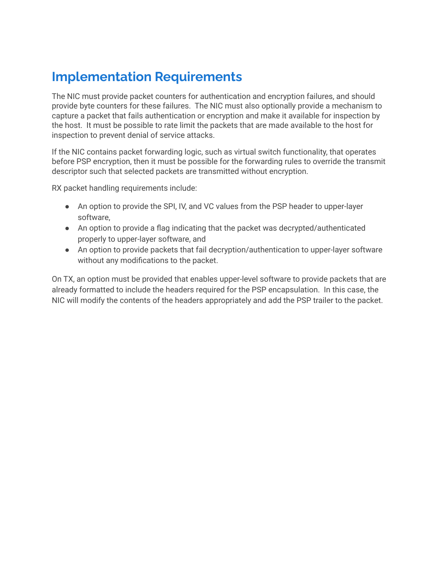# **Implementation Requirements**

The NIC must provide packet counters for authentication and encryption failures, and should provide byte counters for these failures. The NIC must also optionally provide a mechanism to capture a packet that fails authentication or encryption and make it available for inspection by the host. It must be possible to rate limit the packets that are made available to the host for inspection to prevent denial of service attacks.

If the NIC contains packet forwarding logic, such as virtual switch functionality, that operates before PSP encryption, then it must be possible for the forwarding rules to override the transmit descriptor such that selected packets are transmitted without encryption.

RX packet handling requirements include:

- An option to provide the SPI, IV, and VC values from the PSP header to upper-layer software,
- An option to provide a flag indicating that the packet was decrypted/authenticated properly to upper-layer software, and
- An option to provide packets that fail decryption/authentication to upper-layer software without any modifications to the packet.

On TX, an option must be provided that enables upper-level software to provide packets that are already formatted to include the headers required for the PSP encapsulation. In this case, the NIC will modify the contents of the headers appropriately and add the PSP trailer to the packet.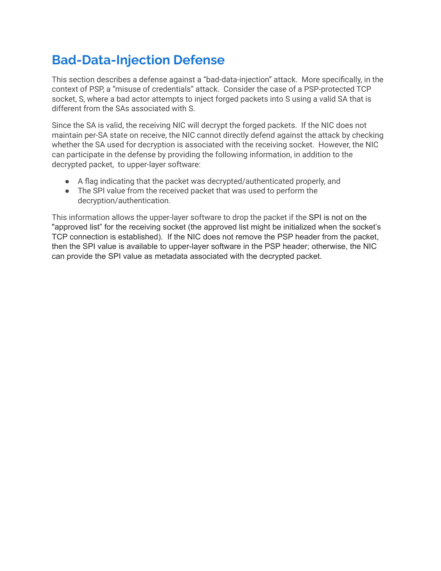# **Bad-Data-Injection Defense**

This section describes a defense against a "bad-data-injection" attack. More specifically, in the context of PSP, a "misuse of credentials" attack. Consider the case of a PSP-protected TCP socket, S, where a bad actor attempts to inject forged packets into S using a valid SA that is different from the SAs associated with S.

Since the SA is valid, the receiving NIC will decrypt the forged packets. If the NIC does not maintain per-SA state on receive, the NIC cannot directly defend against the attack by checking whether the SA used for decryption is associated with the receiving socket. However, the NIC can participate in the defense by providing the following information, in addition to the decrypted packet, to upper-layer software:

- A flag indicating that the packet was decrypted/authenticated properly, and
- The SPI value from the received packet that was used to perform the decryption/authentication.

This information allows the upper-layer software to drop the packet if the SPI is not on the "approved list" for the receiving socket (the approved list might be initialized when the socket's TCP connection is established). If the NIC does not remove the PSP header from the packet, then the SPI value is available to upper-layer software in the PSP header; otherwise, the NIC can provide the SPI value as metadata associated with the decrypted packet.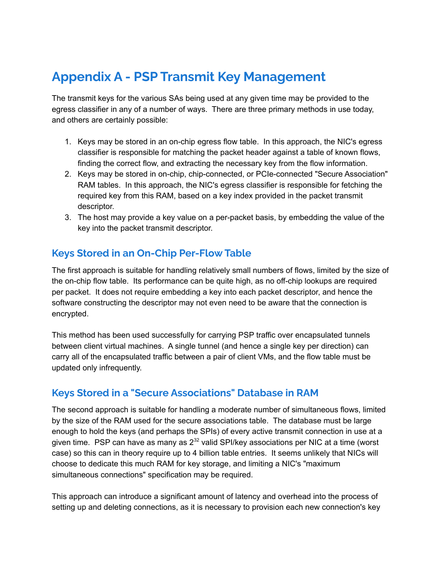# **Appendix A - PSP Transmit Key Management**

The transmit keys for the various SAs being used at any given time may be provided to the egress classifier in any of a number of ways. There are three primary methods in use today, and others are certainly possible:

- 1. Keys may be stored in an on-chip egress flow table. In this approach, the NIC's egress classifier is responsible for matching the packet header against a table of known flows, finding the correct flow, and extracting the necessary key from the flow information.
- 2. Keys may be stored in on-chip, chip-connected, or PCIe-connected "Secure Association" RAM tables. In this approach, the NIC's egress classifier is responsible for fetching the required key from this RAM, based on a key index provided in the packet transmit descriptor.
- 3. The host may provide a key value on a per-packet basis, by embedding the value of the key into the packet transmit descriptor.

#### **Keys Stored in an On-Chip Per-Flow Table**

The first approach is suitable for handling relatively small numbers of flows, limited by the size of the on-chip flow table. Its performance can be quite high, as no off-chip lookups are required per packet. It does not require embedding a key into each packet descriptor, and hence the software constructing the descriptor may not even need to be aware that the connection is encrypted.

This method has been used successfully for carrying PSP traffic over encapsulated tunnels between client virtual machines. A single tunnel (and hence a single key per direction) can carry all of the encapsulated traffic between a pair of client VMs, and the flow table must be updated only infrequently.

#### **Keys Stored in a "Secure Associations" Database in RAM**

The second approach is suitable for handling a moderate number of simultaneous flows, limited by the size of the RAM used for the secure associations table. The database must be large enough to hold the keys (and perhaps the SPIs) of every active transmit connection in use at a given time. PSP can have as many as  $2^{32}$  valid SPI/key associations per NIC at a time (worst case) so this can in theory require up to 4 billion table entries. It seems unlikely that NICs will choose to dedicate this much RAM for key storage, and limiting a NIC's "maximum simultaneous connections" specification may be required.

This approach can introduce a significant amount of latency and overhead into the process of setting up and deleting connections, as it is necessary to provision each new connection's key